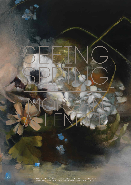

8 JULY - 23 AUGUST, 2015 ARTSPACE GALLERY, ADELAIDE FESTIVAL CENTRE **OFFICIAL OPENING** FRIDAY 10 JULY, 5.30PM **GALLERY HOURS** WEDNESDAY – SUNDAY, 11AM – 4PM

ALLENDER